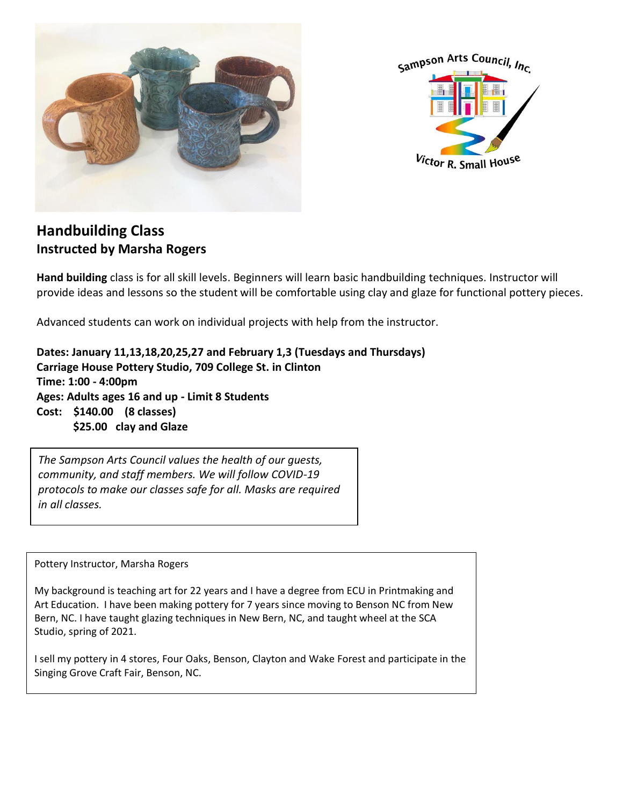



## **Handbuilding Class Instructed by Marsha Rogers**

**Hand building** class is for all skill levels. Beginners will learn basic handbuilding techniques. Instructor will provide ideas and lessons so the student will be comfortable using clay and glaze for functional pottery pieces.

Advanced students can work on individual projects with help from the instructor.

**Dates: January 11,13,18,20,25,27 and February 1,3 (Tuesdays and Thursdays) Carriage House Pottery Studio, 709 College St. in Clinton Time: 1:00 - 4:00pm Ages: Adults ages 16 and up - Limit 8 Students Cost: \$140.00 (8 classes) \$25.00 clay and Glaze**

*The Sampson Arts Council values the health of our guests, community, and staff members. We will follow COVID-19 protocols to make our classes safe for all. Masks are required in all classes.*

Pottery Instructor, Marsha Rogers

My background is teaching art for 22 years and I have a degree from ECU in Printmaking and Art Education. I have been making pottery for 7 years since moving to Benson NC from New Bern, NC. I have taught glazing techniques in New Bern, NC, and taught wheel at the SCA Studio, spring of 2021.

I sell my pottery in 4 stores, Four Oaks, Benson, Clayton and Wake Forest and participate in the Singing Grove Craft Fair, Benson, NC.